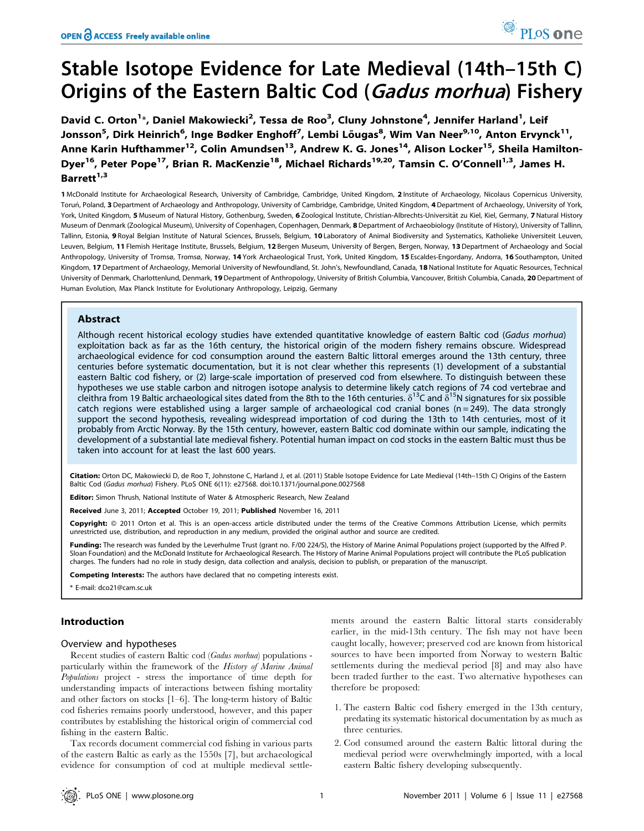# Stable Isotope Evidence for Late Medieval (14th–15th C) Origins of the Eastern Baltic Cod (Gadus morhua) Fishery

David C. Orton<sup>1\*</sup>, Daniel Makowiecki<sup>2</sup>, Tessa de Roo<sup>3</sup>, Cluny Johnstone<sup>4</sup>, Jennifer Harland<sup>1</sup>, Leif Jonsson<sup>5</sup>, Dirk Heinrich<sup>6</sup>, Inge Bødker Enghoff<sup>7</sup>, Lembi Lõugas<sup>8</sup>, Wim Van Neer<sup>9,10</sup>, Anton Ervynck<sup>11</sup>, Anne Karin Hufthammer<sup>12</sup>, Colin Amundsen<sup>13</sup>, Andrew K. G. Jones<sup>14</sup>, Alison Locker<sup>15</sup>, Sheila Hamilton-Dyer<sup>16</sup>, Peter Pope<sup>17</sup>, Brian R. MacKenzie<sup>18</sup>, Michael Richards<sup>19,20</sup>, Tamsin C. O'Connell<sup>1,3</sup>, James H. Barrett<sup>1,3</sup>

1 McDonald Institute for Archaeological Research, University of Cambridge, Cambridge, United Kingdom, 2 Institute of Archaeology, Nicolaus Copernicus University, Torun, Poland, 3 Department of Archaeology and Anthropology, University of Cambridge, Cambridge, United Kingdom, 4 Department of Archaeology, University of York, York, United Kingdom, 5 Museum of Natural History, Gothenburg, Sweden, 6 Zoological Institute, Christian-Albrechts-Universität zu Kiel, Kiel, Germany, 7 Natural History Museum of Denmark (Zoological Museum), University of Copenhagen, Copenhagen, Denmark, 8 Department of Archaeobiology (Institute of History), University of Tallinn, Tallinn, Estonia, 9 Royal Belgian Institute of Natural Sciences, Brussels, Belgium, 10 Laboratory of Animal Biodiversity and Systematics, Katholieke Universiteit Leuven, Leuven, Belgium, 11 Flemish Heritage Institute, Brussels, Belgium, 12 Bergen Museum, University of Bergen, Bergen, Norway, 13 Department of Archaeology and Social Anthropology, University of Tromsø, Tromsø, Norway, 14 York Archaeological Trust, York, United Kingdom, 15 Escaldes-Engordany, Andorra, 16 Southampton, United Kingdom, 17 Department of Archaeology, Memorial University of Newfoundland, St. John's, Newfoundland, Canada, 18 National Institute for Aquatic Resources, Technical University of Denmark, Charlottenlund, Denmark, 19 Department of Anthropology, University of British Columbia, Vancouver, British Columbia, Canada, 20 Department of Human Evolution, Max Planck Institute for Evolutionary Anthropology, Leipzig, Germany

# Abstract

Although recent historical ecology studies have extended quantitative knowledge of eastern Baltic cod (Gadus morhua) exploitation back as far as the 16th century, the historical origin of the modern fishery remains obscure. Widespread archaeological evidence for cod consumption around the eastern Baltic littoral emerges around the 13th century, three centuries before systematic documentation, but it is not clear whether this represents (1) development of a substantial eastern Baltic cod fishery, or (2) large-scale importation of preserved cod from elsewhere. To distinguish between these hypotheses we use stable carbon and nitrogen isotope analysis to determine likely catch regions of 74 cod vertebrae and cleithra from 19 Baltic archaeological sites dated from the 8th to the 16th centuries.  $\delta^{13}$ C and  $\delta^{15}$ N signatures for six possible catch regions were established using a larger sample of archaeological cod cranial bones ( $n = 249$ ). The data strongly support the second hypothesis, revealing widespread importation of cod during the 13th to 14th centuries, most of it probably from Arctic Norway. By the 15th century, however, eastern Baltic cod dominate within our sample, indicating the development of a substantial late medieval fishery. Potential human impact on cod stocks in the eastern Baltic must thus be taken into account for at least the last 600 years.

Citation: Orton DC, Makowiecki D, de Roo T, Johnstone C, Harland J, et al. (2011) Stable Isotope Evidence for Late Medieval (14th–15th C) Origins of the Eastern Baltic Cod (Gadus morhua) Fishery. PLoS ONE 6(11): e27568. doi:10.1371/journal.pone.0027568

Editor: Simon Thrush, National Institute of Water & Atmospheric Research, New Zealand

Received June 3, 2011; Accepted October 19, 2011; Published November 16, 2011

Copyright: © 2011 Orton et al. This is an open-access article distributed under the terms of the Creative Commons Attribution License, which permits unrestricted use, distribution, and reproduction in any medium, provided the original author and source are credited.

Funding: The research was funded by the Leverhulme Trust (grant no. F/00 224/S), the History of Marine Animal Populations project (supported by the Alfred P. Sloan Foundation) and the McDonald Institute for Archaeological Research. The History of Marine Animal Populations project will contribute the PLoS publication charges. The funders had no role in study design, data collection and analysis, decision to publish, or preparation of the manuscript.

Competing Interests: The authors have declared that no competing interests exist.

\* E-mail: dco21@cam.sc.uk

# Introduction

#### Overview and hypotheses

Recent studies of eastern Baltic cod (Gadus morhua) populations particularly within the framework of the History of Marine Animal Populations project - stress the importance of time depth for understanding impacts of interactions between fishing mortality and other factors on stocks [1–6]. The long-term history of Baltic cod fisheries remains poorly understood, however, and this paper contributes by establishing the historical origin of commercial cod fishing in the eastern Baltic.

Tax records document commercial cod fishing in various parts of the eastern Baltic as early as the 1550s [7], but archaeological evidence for consumption of cod at multiple medieval settlements around the eastern Baltic littoral starts considerably earlier, in the mid-13th century. The fish may not have been caught locally, however; preserved cod are known from historical sources to have been imported from Norway to western Baltic settlements during the medieval period [8] and may also have been traded further to the east. Two alternative hypotheses can therefore be proposed:

- 1. The eastern Baltic cod fishery emerged in the 13th century, predating its systematic historical documentation by as much as three centuries.
- 2. Cod consumed around the eastern Baltic littoral during the medieval period were overwhelmingly imported, with a local eastern Baltic fishery developing subsequently.

PLoS one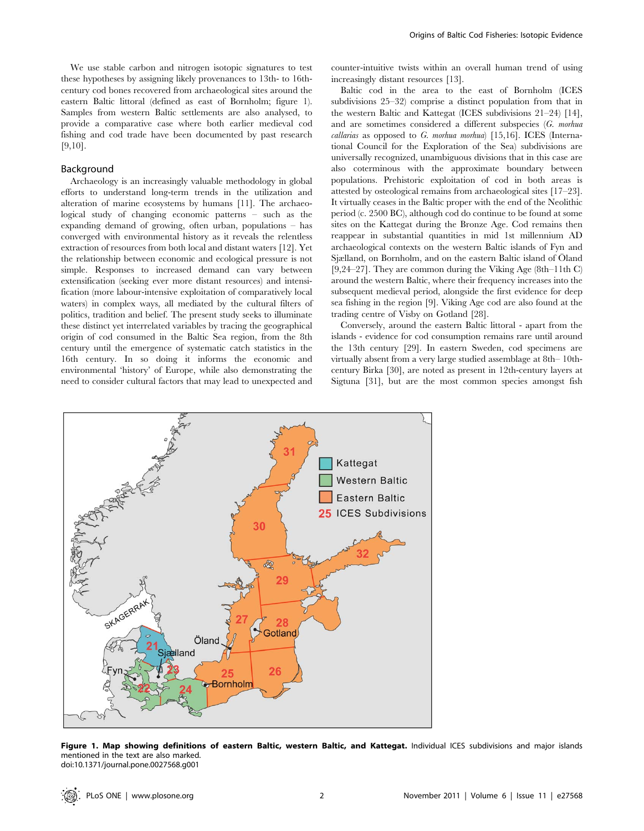We use stable carbon and nitrogen isotopic signatures to test these hypotheses by assigning likely provenances to 13th- to 16thcentury cod bones recovered from archaeological sites around the eastern Baltic littoral (defined as east of Bornholm; figure 1). Samples from western Baltic settlements are also analysed, to provide a comparative case where both earlier medieval cod fishing and cod trade have been documented by past research [9,10].

#### Background

Archaeology is an increasingly valuable methodology in global efforts to understand long-term trends in the utilization and alteration of marine ecosystems by humans [11]. The archaeological study of changing economic patterns – such as the expanding demand of growing, often urban, populations – has converged with environmental history as it reveals the relentless extraction of resources from both local and distant waters [12]. Yet the relationship between economic and ecological pressure is not simple. Responses to increased demand can vary between extensification (seeking ever more distant resources) and intensification (more labour-intensive exploitation of comparatively local waters) in complex ways, all mediated by the cultural filters of politics, tradition and belief. The present study seeks to illuminate these distinct yet interrelated variables by tracing the geographical origin of cod consumed in the Baltic Sea region, from the 8th century until the emergence of systematic catch statistics in the 16th century. In so doing it informs the economic and environmental 'history' of Europe, while also demonstrating the need to consider cultural factors that may lead to unexpected and counter-intuitive twists within an overall human trend of using increasingly distant resources [13].

Baltic cod in the area to the east of Bornholm (ICES subdivisions 25–32) comprise a distinct population from that in the western Baltic and Kattegat (ICES subdivisions 21–24) [14], and are sometimes considered a different subspecies (G. morhua callarias as opposed to G. morhua morhua)  $[15,16]$ . ICES (International Council for the Exploration of the Sea) subdivisions are universally recognized, unambiguous divisions that in this case are also coterminous with the approximate boundary between populations. Prehistoric exploitation of cod in both areas is attested by osteological remains from archaeological sites [17–23]. It virtually ceases in the Baltic proper with the end of the Neolithic period (c. 2500 BC), although cod do continue to be found at some sites on the Kattegat during the Bronze Age. Cod remains then reappear in substantial quantities in mid 1st millennium AD archaeological contexts on the western Baltic islands of Fyn and Sjælland, on Bornholm, and on the eastern Baltic island of Öland [9,24–27]. They are common during the Viking Age (8th–11th C) around the western Baltic, where their frequency increases into the subsequent medieval period, alongside the first evidence for deep sea fishing in the region [9]. Viking Age cod are also found at the trading centre of Visby on Gotland [28].

Conversely, around the eastern Baltic littoral - apart from the islands - evidence for cod consumption remains rare until around the 13th century [29]. In eastern Sweden, cod specimens are virtually absent from a very large studied assemblage at 8th– 10thcentury Birka [30], are noted as present in 12th-century layers at Sigtuna [31], but are the most common species amongst fish



Figure 1. Map showing definitions of eastern Baltic, western Baltic, and Kattegat. Individual ICES subdivisions and major islands mentioned in the text are also marked. doi:10.1371/journal.pone.0027568.g001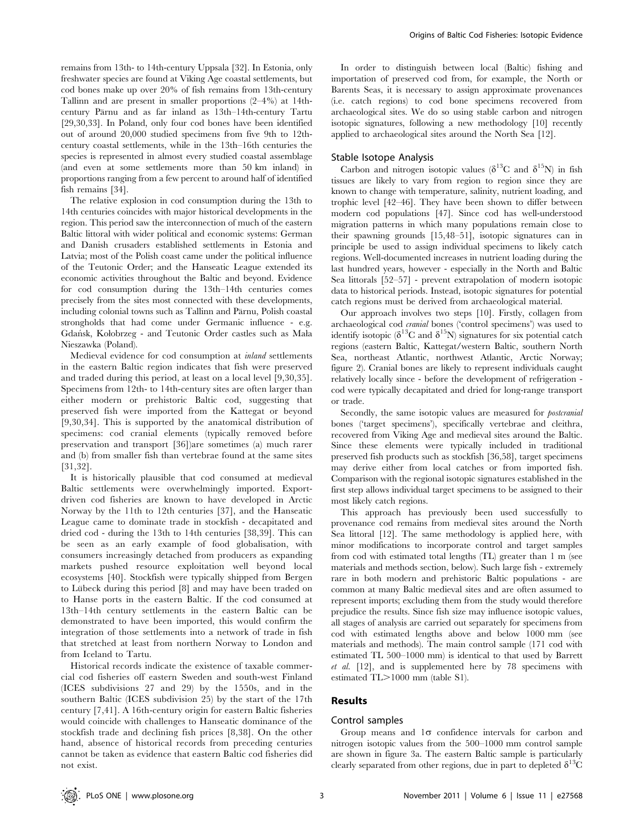remains from 13th- to 14th-century Uppsala [32]. In Estonia, only freshwater species are found at Viking Age coastal settlements, but cod bones make up over 20% of fish remains from 13th-century Tallinn and are present in smaller proportions (2–4%) at 14thcentury Pärnu and as far inland as 13th–14th-century Tartu [29,30,33]. In Poland, only four cod bones have been identified out of around 20,000 studied specimens from five 9th to 12thcentury coastal settlements, while in the 13th–16th centuries the species is represented in almost every studied coastal assemblage (and even at some settlements more than 50 km inland) in proportions ranging from a few percent to around half of identified fish remains [34].

The relative explosion in cod consumption during the 13th to 14th centuries coincides with major historical developments in the region. This period saw the interconnection of much of the eastern Baltic littoral with wider political and economic systems: German and Danish crusaders established settlements in Estonia and Latvia; most of the Polish coast came under the political influence of the Teutonic Order; and the Hanseatic League extended its economic activities throughout the Baltic and beyond. Evidence for cod consumption during the 13th–14th centuries comes precisely from the sites most connected with these developments, including colonial towns such as Tallinn and Pärnu, Polish coastal strongholds that had come under Germanic influence - e.g. Gdan´sk, Kołobrzeg - and Teutonic Order castles such as Mała Nieszawka (Poland).

Medieval evidence for cod consumption at inland settlements in the eastern Baltic region indicates that fish were preserved and traded during this period, at least on a local level [9,30,35]. Specimens from 12th- to 14th-century sites are often larger than either modern or prehistoric Baltic cod, suggesting that preserved fish were imported from the Kattegat or beyond [9,30,34]. This is supported by the anatomical distribution of specimens: cod cranial elements (typically removed before preservation and transport [36])are sometimes (a) much rarer and (b) from smaller fish than vertebrae found at the same sites [31,32].

It is historically plausible that cod consumed at medieval Baltic settlements were overwhelmingly imported. Exportdriven cod fisheries are known to have developed in Arctic Norway by the 11th to 12th centuries [37], and the Hanseatic League came to dominate trade in stockfish - decapitated and dried cod - during the 13th to 14th centuries [38,39]. This can be seen as an early example of food globalisation, with consumers increasingly detached from producers as expanding markets pushed resource exploitation well beyond local ecosystems [40]. Stockfish were typically shipped from Bergen to Lübeck during this period [8] and may have been traded on to Hanse ports in the eastern Baltic. If the cod consumed at 13th–14th century settlements in the eastern Baltic can be demonstrated to have been imported, this would confirm the integration of those settlements into a network of trade in fish that stretched at least from northern Norway to London and from Iceland to Tartu.

Historical records indicate the existence of taxable commercial cod fisheries off eastern Sweden and south-west Finland (ICES subdivisions 27 and 29) by the 1550s, and in the southern Baltic (ICES subdivision 25) by the start of the 17th century [7,41]. A 16th-century origin for eastern Baltic fisheries would coincide with challenges to Hanseatic dominance of the stockfish trade and declining fish prices [8,38]. On the other hand, absence of historical records from preceding centuries cannot be taken as evidence that eastern Baltic cod fisheries did not exist.

In order to distinguish between local (Baltic) fishing and importation of preserved cod from, for example, the North or Barents Seas, it is necessary to assign approximate provenances (i.e. catch regions) to cod bone specimens recovered from archaeological sites. We do so using stable carbon and nitrogen isotopic signatures, following a new methodology [10] recently applied to archaeological sites around the North Sea [12].

#### Stable Isotope Analysis

Carbon and nitrogen isotopic values ( $\delta^{13}$ C and  $\delta^{15}$ N) in fish tissues are likely to vary from region to region since they are known to change with temperature, salinity, nutrient loading, and trophic level [42–46]. They have been shown to differ between modern cod populations [47]. Since cod has well-understood migration patterns in which many populations remain close to their spawning grounds [15,48–51], isotopic signatures can in principle be used to assign individual specimens to likely catch regions. Well-documented increases in nutrient loading during the last hundred years, however - especially in the North and Baltic Sea littorals [52–57] - prevent extrapolation of modern isotopic data to historical periods. Instead, isotopic signatures for potential catch regions must be derived from archaeological material.

Our approach involves two steps [10]. Firstly, collagen from archaeological cod cranial bones ('control specimens') was used to identify isotopic ( $\delta^{13}$ C and  $\delta^{15}$ N) signatures for six potential catch regions (eastern Baltic, Kattegat/western Baltic, southern North Sea, northeast Atlantic, northwest Atlantic, Arctic Norway; figure 2). Cranial bones are likely to represent individuals caught relatively locally since - before the development of refrigeration cod were typically decapitated and dried for long-range transport or trade.

Secondly, the same isotopic values are measured for *postcranial* bones ('target specimens'), specifically vertebrae and cleithra, recovered from Viking Age and medieval sites around the Baltic. Since these elements were typically included in traditional preserved fish products such as stockfish [36,58], target specimens may derive either from local catches or from imported fish. Comparison with the regional isotopic signatures established in the first step allows individual target specimens to be assigned to their most likely catch regions.

This approach has previously been used successfully to provenance cod remains from medieval sites around the North Sea littoral [12]. The same methodology is applied here, with minor modifications to incorporate control and target samples from cod with estimated total lengths (TL) greater than 1 m (see materials and methods section, below). Such large fish - extremely rare in both modern and prehistoric Baltic populations - are common at many Baltic medieval sites and are often assumed to represent imports; excluding them from the study would therefore prejudice the results. Since fish size may influence isotopic values, all stages of analysis are carried out separately for specimens from cod with estimated lengths above and below 1000 mm (see materials and methods). The main control sample (171 cod with estimated TL 500–1000 mm) is identical to that used by Barrett et al. [12], and is supplemented here by 78 specimens with estimated  $TL > 1000$  mm (table S1).

#### Results

#### Control samples

Group means and  $1\sigma$  confidence intervals for carbon and nitrogen isotopic values from the 500–1000 mm control sample are shown in figure 3a. The eastern Baltic sample is particularly clearly separated from other regions, due in part to depleted  $\delta^{13}C$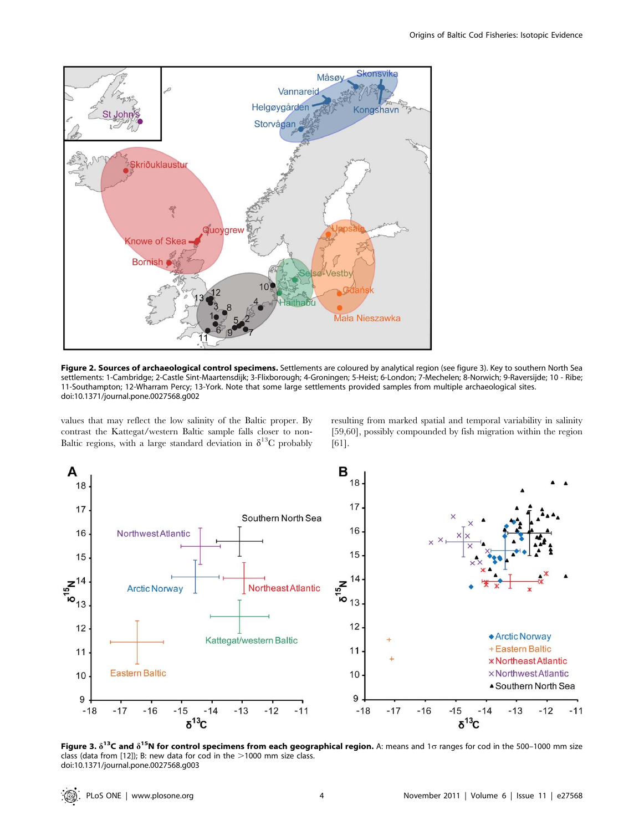

Figure 2. Sources of archaeological control specimens. Settlements are coloured by analytical region (see figure 3). Key to southern North Sea settlements: 1-Cambridge; 2-Castle Sint-Maartensdijk; 3-Flixborough; 4-Groningen; 5-Heist; 6-London; 7-Mechelen; 8-Norwich; 9-Raversijde; 10 - Ribe; 11-Southampton; 12-Wharram Percy; 13-York. Note that some large settlements provided samples from multiple archaeological sites. doi:10.1371/journal.pone.0027568.g002

values that may reflect the low salinity of the Baltic proper. By contrast the Kattegat/western Baltic sample falls closer to non-Baltic regions, with a large standard deviation in  $\delta^{13}C$  probably resulting from marked spatial and temporal variability in salinity [59,60], possibly compounded by fish migration within the region [61].



Figure 3.  $\delta^{13}$ C and  $\delta^{15}$ N for control specimens from each geographical region. A: means and 1o ranges for cod in the 500–1000 mm size class (data from [12]); B: new data for cod in the  $>$ 1000 mm size class. doi:10.1371/journal.pone.0027568.g003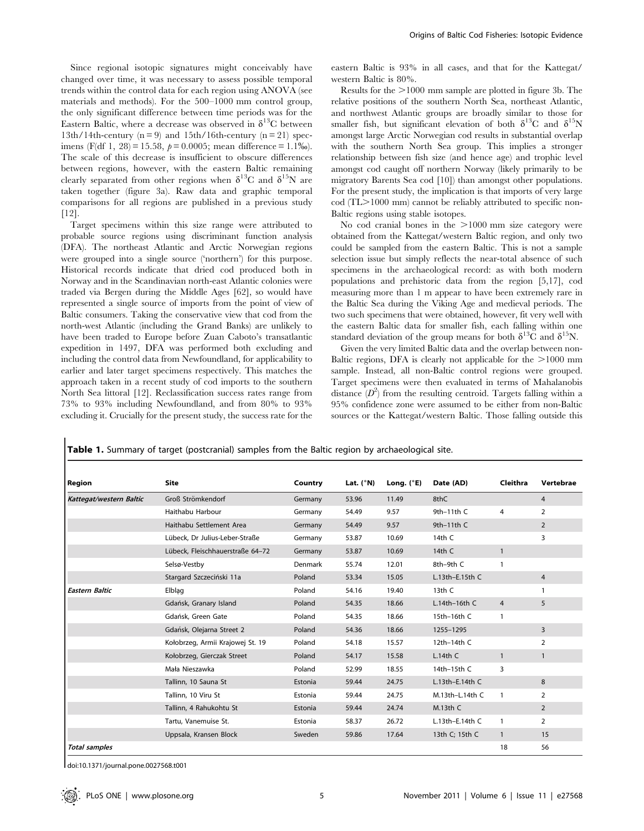Since regional isotopic signatures might conceivably have changed over time, it was necessary to assess possible temporal trends within the control data for each region using ANOVA (see materials and methods). For the 500–1000 mm control group, the only significant difference between time periods was for the Eastern Baltic, where a decrease was observed in  $\delta^{13}$ C between 13th/14th-century ( $n = 9$ ) and 15th/16th-century ( $n = 21$ ) specimens (F(df 1, 28) = 15.58,  $p = 0.0005$ ; mean difference = 1.1‰). The scale of this decrease is insufficient to obscure differences between regions, however, with the eastern Baltic remaining clearly separated from other regions when  $\delta^{13}C$  and  $\delta^{15}N$  are taken together (figure 3a). Raw data and graphic temporal comparisons for all regions are published in a previous study [12].

Target specimens within this size range were attributed to probable source regions using discriminant function analysis (DFA). The northeast Atlantic and Arctic Norwegian regions were grouped into a single source ('northern') for this purpose. Historical records indicate that dried cod produced both in Norway and in the Scandinavian north-east Atlantic colonies were traded via Bergen during the Middle Ages [62], so would have represented a single source of imports from the point of view of Baltic consumers. Taking the conservative view that cod from the north-west Atlantic (including the Grand Banks) are unlikely to have been traded to Europe before Zuan Caboto's transatlantic expedition in 1497, DFA was performed both excluding and including the control data from Newfoundland, for applicability to earlier and later target specimens respectively. This matches the approach taken in a recent study of cod imports to the southern North Sea littoral [12]. Reclassification success rates range from 73% to 93% including Newfoundland, and from 80% to 93% excluding it. Crucially for the present study, the success rate for the

eastern Baltic is 93% in all cases, and that for the Kattegat/ western Baltic is 80%.

Results for the  $>1000$  mm sample are plotted in figure 3b. The relative positions of the southern North Sea, northeast Atlantic, and northwest Atlantic groups are broadly similar to those for smaller fish, but significant elevation of both  $\delta^{13}C$  and  $\delta^{15}N$ amongst large Arctic Norwegian cod results in substantial overlap with the southern North Sea group. This implies a stronger relationship between fish size (and hence age) and trophic level amongst cod caught off northern Norway (likely primarily to be migratory Barents Sea cod [10]) than amongst other populations. For the present study, the implication is that imports of very large  $\cot$  (TL $>1000$  mm) cannot be reliably attributed to specific non-Baltic regions using stable isotopes.

No cod cranial bones in the  $>1000$  mm size category were obtained from the Kattegat/western Baltic region, and only two could be sampled from the eastern Baltic. This is not a sample selection issue but simply reflects the near-total absence of such specimens in the archaeological record: as with both modern populations and prehistoric data from the region [5,17], cod measuring more than 1 m appear to have been extremely rare in the Baltic Sea during the Viking Age and medieval periods. The two such specimens that were obtained, however, fit very well with the eastern Baltic data for smaller fish, each falling within one standard deviation of the group means for both  $\delta^{13}\bar{C}$  and  $\delta^{15}N$ .

Given the very limited Baltic data and the overlap between non-Baltic regions, DFA is clearly not applicable for the  $>1000$  mm sample. Instead, all non-Baltic control regions were grouped. Target specimens were then evaluated in terms of Mahalanobis distance  $(D^2)$  from the resulting centroid. Targets falling within a 95% confidence zone were assumed to be either from non-Baltic sources or the Kattegat/western Baltic. Those falling outside this

Table 1. Summary of target (postcranial) samples from the Baltic region by archaeological site.

| Region                  | <b>Site</b>                      | Country | Lat. $(^{\circ}N)$ | Long. $(^{\circ}E)$ | Date (AD)        | Cleithra       | Vertebrae      |
|-------------------------|----------------------------------|---------|--------------------|---------------------|------------------|----------------|----------------|
| Kattegat/western Baltic | Groß Strömkendorf                | Germany | 53.96              | 11.49               | 8thC             |                | $\overline{4}$ |
|                         | Haithabu Harbour                 | Germany | 54.49              | 9.57                | 9th $-11$ th C   | 4              | $\overline{2}$ |
|                         | Haithabu Settlement Area         | Germany | 54.49              | 9.57                | 9th $-11$ th C   |                | $\overline{2}$ |
|                         | Lübeck, Dr Julius-Leber-Straße   | Germany | 53.87              | 10.69               | 14th $C$         |                | 3              |
|                         | Lübeck, Fleischhauerstraße 64-72 | Germany | 53.87              | 10.69               | 14th $C$         | $\mathbf{1}$   |                |
|                         | Selsø-Vestby                     | Denmark | 55.74              | 12.01               | 8th-9th C        | 1              |                |
|                         | Stargard Szczeciński 11a         | Poland  | 53.34              | 15.05               | $L.13th-E.15thC$ |                | $\overline{4}$ |
| <b>Eastern Baltic</b>   | Elblag                           | Poland  | 54.16              | 19.40               | 13th C           |                | 1              |
|                         | Gdańsk, Granary Island           | Poland  | 54.35              | 18.66               | $L.14th-16th$ C  | $\overline{4}$ | 5              |
|                         | Gdańsk, Green Gate               | Poland  | 54.35              | 18.66               | 15th-16th C      | 1              |                |
|                         | Gdańsk, Olejarna Street 2        | Poland  | 54.36              | 18.66               | 1255-1295        |                | 3              |
|                         | Kołobrzeg, Armii Krajowej St. 19 | Poland  | 54.18              | 15.57               | 12th-14th C      |                | 2              |
|                         | Kołobrzeg, Gierczak Street       | Poland  | 54.17              | 15.58               | $L.14th$ C       | $\mathbf{1}$   | $\mathbf{1}$   |
|                         | Mała Nieszawka                   | Poland  | 52.99              | 18.55               | 14th-15th C      | 3              |                |
|                         | Tallinn, 10 Sauna St             | Estonia | 59.44              | 24.75               | $L.13th-E.14thC$ |                | 8              |
|                         | Tallinn, 10 Viru St              | Estonia | 59.44              | 24.75               | M.13th-L.14th C  | $\mathbf{1}$   | $\overline{2}$ |
|                         | Tallinn, 4 Rahukohtu St          | Estonia | 59.44              | 24.74               | $M.13th$ C       |                | $\overline{2}$ |
|                         | Tartu, Vanemuise St.             | Estonia | 58.37              | 26.72               | L.13th-E.14th C  | 1              | $\overline{2}$ |
|                         | Uppsala, Kransen Block           | Sweden  | 59.86              | 17.64               | 13th C; 15th C   | $\mathbf{1}$   | 15             |
| <b>Total samples</b>    |                                  |         |                    |                     |                  | 18             | 56             |

doi:10.1371/journal.pone.0027568.t001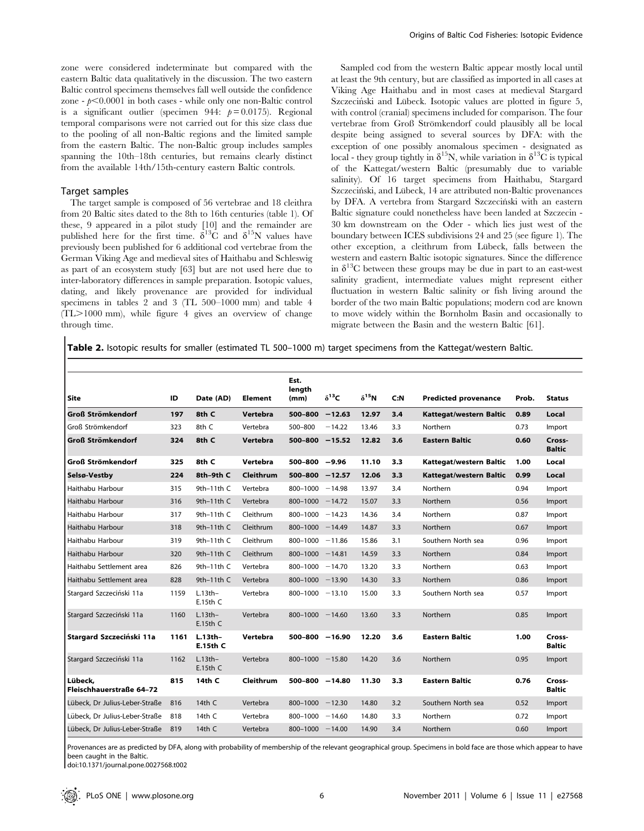zone were considered indeterminate but compared with the eastern Baltic data qualitatively in the discussion. The two eastern Baltic control specimens themselves fall well outside the confidence zone -  $p<0.0001$  in both cases - while only one non-Baltic control is a significant outlier (specimen 944:  $p = 0.0175$ ). Regional temporal comparisons were not carried out for this size class due to the pooling of all non-Baltic regions and the limited sample from the eastern Baltic. The non-Baltic group includes samples spanning the 10th–18th centuries, but remains clearly distinct from the available 14th/15th-century eastern Baltic controls.

#### Target samples

The target sample is composed of 56 vertebrae and 18 cleithra from 20 Baltic sites dated to the 8th to 16th centuries (table 1). Of these, 9 appeared in a pilot study [10] and the remainder are published here for the first time.  $\delta^{13}$ C and  $\delta^{15}$ N values have previously been published for 6 additional cod vertebrae from the German Viking Age and medieval sites of Haithabu and Schleswig as part of an ecosystem study [63] but are not used here due to inter-laboratory differences in sample preparation. Isotopic values, dating, and likely provenance are provided for individual specimens in tables 2 and 3 (TL 500–1000 mm) and table 4 (TL>1000 mm), while figure 4 gives an overview of change through time.

Sampled cod from the western Baltic appear mostly local until at least the 9th century, but are classified as imported in all cases at Viking Age Haithabu and in most cases at medieval Stargard Szczeciński and Lübeck. Isotopic values are plotted in figure 5, with control (cranial) specimens included for comparison. The four vertebrae from Groß Strömkendorf could plausibly all be local despite being assigned to several sources by DFA: with the exception of one possibly anomalous specimen - designated as local - they group tightly in  $\delta^{15}N$ , while variation in  $\delta^{13}C$  is typical of the Kattegat/western Baltic (presumably due to variable salinity). Of 16 target specimens from Haithabu, Stargard Szczeciński, and Lübeck, 14 are attributed non-Baltic provenances by DFA. A vertebra from Stargard Szczeciński with an eastern Baltic signature could nonetheless have been landed at Szczecin - 30 km downstream on the Oder - which lies just west of the boundary between ICES subdivisions 24 and 25 (see figure 1). The other exception, a cleithrum from Lübeck, falls between the western and eastern Baltic isotopic signatures. Since the difference in  $\delta^{13}$ C between these groups may be due in part to an east-west salinity gradient, intermediate values might represent either fluctuation in western Baltic salinity or fish living around the border of the two main Baltic populations; modern cod are known to move widely within the Bornholm Basin and occasionally to migrate between the Basin and the western Baltic [61].

Table 2. Isotopic results for smaller (estimated TL 500-1000 m) target specimens from the Kattegat/western Baltic.

| Site                                | ID   | Date (AD)                    | <b>Element</b> | Est.<br>length<br>(mm) | $\delta^{13}C$ | $\delta^{15}N$ | C: N | <b>Predicted provenance</b> | Prob. | <b>Status</b>           |
|-------------------------------------|------|------------------------------|----------------|------------------------|----------------|----------------|------|-----------------------------|-------|-------------------------|
| Groß Strömkendorf                   | 197  | 8th C                        | Vertebra       | 500-800                | $-12.63$       | 12.97          | 3.4  | Kattegat/western Baltic     | 0.89  | Local                   |
| Groß Strömkendorf                   | 323  | 8th C                        | Vertebra       | 500-800                | $-14.22$       | 13.46          | 3.3  | Northern                    | 0.73  | Import                  |
| <b>Groß Strömkendorf</b>            | 324  | 8th C                        | Vertebra       | 500-800                | $-15.52$       | 12.82          | 3.6  | <b>Eastern Baltic</b>       | 0.60  | Cross-<br><b>Baltic</b> |
| Groß Strömkendorf                   | 325  | 8th C                        | Vertebra       | $500 - 800 - 9.96$     |                | 11.10          | 3.3  | Kattegat/western Baltic     | 1.00  | Local                   |
| Selsø-Vestby                        | 224  | 8th-9th C                    | Cleithrum      | 500-800                | $-12.57$       | 12.06          | 3.3  | Kattegat/western Baltic     | 0.99  | Local                   |
| Haithabu Harbour                    | 315  | 9th-11th C                   | Vertebra       | 800-1000               | $-14.98$       | 13.97          | 3.4  | Northern                    | 0.94  | Import                  |
| Haithabu Harbour                    | 316  | 9th $-11$ th C               | Vertebra       | 800-1000               | $-14.72$       | 15.07          | 3.3  | Northern                    | 0.56  | Import                  |
| Haithabu Harbour                    | 317  | 9th-11th C                   | Cleithrum      | 800-1000               | $-14.23$       | 14.36          | 3.4  | Northern                    | 0.87  | Import                  |
| Haithabu Harbour                    | 318  | 9th $-11$ th C               | Cleithrum      | $800 - 1000 - 14.49$   |                | 14.87          | 3.3  | Northern                    | 0.67  | Import                  |
| Haithabu Harbour                    | 319  | 9th-11th C                   | Cleithrum      | 800-1000               | $-11.86$       | 15.86          | 3.1  | Southern North sea          | 0.96  | Import                  |
| Haithabu Harbour                    | 320  | 9th $-11$ th C               | Cleithrum      | 800-1000               | $-14.81$       | 14.59          | 3.3  | Northern                    | 0.84  | Import                  |
| Haithabu Settlement area            | 826  | 9th-11th C                   | Vertebra       | 800-1000               | $-14.70$       | 13.20          | 3.3  | Northern                    | 0.63  | Import                  |
| Haithabu Settlement area            | 828  | 9th $-11$ th C               | Vertebra       | $800 - 1000 - 13.90$   |                | 14.30          | 3.3  | Northern                    | 0.86  | Import                  |
| Stargard Szczeciński 11a            | 1159 | $L.13th-$<br>$E.15th$ C      | Vertebra       | $800 - 1000 - 13.10$   |                | 15.00          | 3.3  | Southern North sea          | 0.57  | Import                  |
| Stargard Szczeciński 11a            | 1160 | $L.13th-$<br>E.15thC         | Vertebra       | $800 - 1000 - 14.60$   |                | 13.60          | 3.3  | Northern                    | 0.85  | Import                  |
| Stargard Szczeciński 11a            | 1161 | $L.13th-$<br><b>E.15th C</b> | Vertebra       | 500-800                | $-16.90$       | 12.20          | 3.6  | <b>Eastern Baltic</b>       | 1.00  | Cross-<br><b>Baltic</b> |
| Stargard Szczeciński 11a            | 1162 | $L.13th-$<br>E.15thC         | Vertebra       | $800 - 1000 - 15.80$   |                | 14.20          | 3.6  | Northern                    | 0.95  | Import                  |
| Lübeck,<br>Fleischhauerstraße 64-72 | 815  | 14th C                       | Cleithrum      | 500-800 -14.80         |                | 11.30          | 3.3  | <b>Eastern Baltic</b>       | 0.76  | Cross-<br><b>Baltic</b> |
| Lübeck, Dr Julius-Leber-Straße      | 816  | 14th C                       | Vertebra       | 800-1000               | $-12.30$       | 14.80          | 3.2  | Southern North sea          | 0.52  | Import                  |
| Lübeck. Dr Julius-Leber-Straße      | 818  | 14th C                       | Vertebra       | 800-1000               | $-14.60$       | 14.80          | 3.3  | Northern                    | 0.72  | Import                  |
| Lübeck, Dr Julius-Leber-Straße      | 819  | 14th C                       | Vertebra       | $800 - 1000 - 14.00$   |                | 14.90          | 3.4  | Northern                    | 0.60  | Import                  |

Provenances are as predicted by DFA, along with probability of membership of the relevant geographical group. Specimens in bold face are those which appear to have been caught in the Baltic.

doi:10.1371/journal.pone.0027568.t002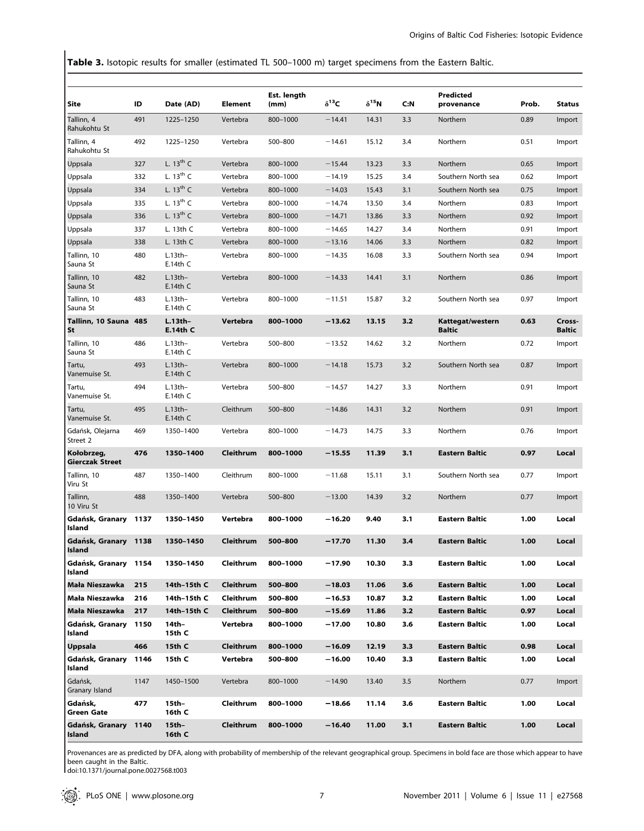Table 3. Isotopic results for smaller (estimated TL 500–1000 m) target specimens from the Eastern Baltic.

| Site                                       | ID   | Date (AD)               | Element   | Est. length<br>(mm) | $\delta^{13}$ C | $\delta^{15}$ N | C:N | Predicted<br>provenance           | Prob. | <b>Status</b>           |
|--------------------------------------------|------|-------------------------|-----------|---------------------|-----------------|-----------------|-----|-----------------------------------|-------|-------------------------|
| Tallinn, 4                                 | 491  | 1225-1250               | Vertebra  | 800-1000            | $-14.41$        | 14.31           | 3.3 | Northern                          | 0.89  | Import                  |
| Rahukohtu St<br>Tallinn, 4<br>Rahukohtu St | 492  | 1225-1250               | Vertebra  | 500-800             | $-14.61$        | 15.12           | 3.4 | Northern                          | 0.51  | Import                  |
| Uppsala                                    | 327  | L. $13^{th}$ C          | Vertebra  | 800-1000            | $-15.44$        | 13.23           | 3.3 | Northern                          | 0.65  | Import                  |
| Uppsala                                    | 332  | L. $13^{th}$ C          | Vertebra  | 800-1000            | $-14.19$        | 15.25           | 3.4 | Southern North sea                | 0.62  | Import                  |
| Uppsala                                    | 334  | L. $13^{th}$ C          | Vertebra  | 800-1000            | $-14.03$        | 15.43           | 3.1 | Southern North sea                | 0.75  | Import                  |
| Uppsala                                    | 335  | L. $13^{th}$ C          | Vertebra  | 800-1000            | $-14.74$        | 13.50           | 3.4 | Northern                          | 0.83  | Import                  |
| Uppsala                                    | 336  | L. $13th$ C             | Vertebra  | 800-1000            | $-14.71$        | 13.86           | 3.3 | Northern                          | 0.92  | Import                  |
| Uppsala                                    | 337  | L. 13th C               | Vertebra  | 800-1000            | $-14.65$        | 14.27           | 3.4 | Northern                          | 0.91  | Import                  |
| Uppsala                                    | 338  | L. 13th C               | Vertebra  | 800-1000            | $-13.16$        | 14.06           | 3.3 | Northern                          | 0.82  | Import                  |
| Tallinn, 10<br>Sauna St                    | 480  | $L.13th-$<br>$E.14th$ C | Vertebra  | 800-1000            | $-14.35$        | 16.08           | 3.3 | Southern North sea                | 0.94  | Import                  |
| Tallinn, 10<br>Sauna St                    | 482  | $L.13th-$<br>$E.14th$ C | Vertebra  | 800-1000            | $-14.33$        | 14.41           | 3.1 | Northern                          | 0.86  | Import                  |
| Tallinn, 10<br>Sauna St                    | 483  | $L.13th-$<br>$E.14th$ C | Vertebra  | 800-1000            | $-11.51$        | 15.87           | 3.2 | Southern North sea                | 0.97  | Import                  |
| Tallinn, 10 Sauna 485<br>St                |      | $L.13th-$<br>E.14th C   | Vertebra  | 800-1000            | $-13.62$        | 13.15           | 3.2 | Kattegat/western<br><b>Baltic</b> | 0.63  | Cross-<br><b>Baltic</b> |
| Tallinn, 10<br>Sauna St                    | 486  | $L.13th-$<br>$E.14th$ C | Vertebra  | 500-800             | $-13.52$        | 14.62           | 3.2 | Northern                          | 0.72  | Import                  |
| Tartu,<br>Vanemuise St.                    | 493  | $L.13th-$<br>$E.14th$ C | Vertebra  | 800-1000            | $-14.18$        | 15.73           | 3.2 | Southern North sea                | 0.87  | Import                  |
| Tartu,<br>Vanemuise St.                    | 494  | $L.13th-$<br>$E.14th$ C | Vertebra  | 500-800             | $-14.57$        | 14.27           | 3.3 | Northern                          | 0.91  | Import                  |
| Tartu,<br>Vanemuise St.                    | 495  | $L.13th-$<br>$E.14th$ C | Cleithrum | 500-800             | $-14.86$        | 14.31           | 3.2 | Northern                          | 0.91  | Import                  |
| Gdańsk, Olejarna<br>Street 2               | 469  | 1350-1400               | Vertebra  | 800-1000            | $-14.73$        | 14.75           | 3.3 | Northern                          | 0.76  | Import                  |
| Kołobrzeg,<br>Gierczak Street              | 476  | 1350-1400               | Cleithrum | 800-1000            | $-15.55$        | 11.39           | 3.1 | <b>Eastern Baltic</b>             | 0.97  | Local                   |
| Tallinn, 10<br>Viru St                     | 487  | 1350-1400               | Cleithrum | 800-1000            | $-11.68$        | 15.11           | 3.1 | Southern North sea                | 0.77  | Import                  |
| Tallinn,<br>10 Viru St                     | 488  | 1350-1400               | Vertebra  | 500-800             | $-13.00$        | 14.39           | 3.2 | Northern                          | 0.77  | Import                  |
| Gdańsk, Granary<br>Island                  | 1137 | 1350-1450               | Vertebra  | 800-1000            | $-16.20$        | 9.40            | 3.1 | <b>Eastern Baltic</b>             | 1.00  | Local                   |
| Gdańsk, Granary 1138<br>isiand             |      | 1350-1450               | Cleithrum | 500-800             | $-17.70$        | 11.30           | 3,4 | <b>Eastern Baltic</b>             | 1.00  | Local                   |
| Gdańsk, Granary 1154<br>Island             |      | 1350-1450               | Cleithrum | 800-1000            | $-17.90$        | 10.30           | 3.3 | Eastern Baltic                    | 1.00  | Local                   |
| Mała Nieszawka                             | 215  | 14th-15th C             | Cleithrum | 500-800             | $-18.03$        | 11.06           | 3.6 | <b>Eastern Baltic</b>             | 1.00  | Local                   |
| Mała Nieszawka                             | 216  | 14th-15th C             | Cleithrum | 500-800             | $-16.53$        | 10.87           | 3.2 | <b>Eastern Baltic</b>             | 1.00  | Local                   |
| Mała Nieszawka                             | 217  | 14th-15th C             | Cleithrum | 500-800             | $-15.69$        | 11.86           | 3.2 | Eastern Baltic                    | 0.97  | Local                   |
| Gdańsk, Granary<br>Island                  | 1150 | 14th-<br>15th C         | Vertebra  | 800-1000            | $-17.00$        | 10.80           | 3.6 | Eastern Baltic                    | 1.00  | Local                   |
| Uppsala                                    | 466  | 15th C                  | Cleithrum | 800-1000            | $-16.09$        | 12.19           | 3.3 | <b>Eastern Baltic</b>             | 0.98  | Local                   |
| Gdańsk, Granary<br>Island                  | 1146 | 15th C                  | Vertebra  | 500-800             | $-16.00$        | 10.40           | 3.3 | Eastern Baltic                    | 1.00  | Local                   |
| Gdańsk,<br>Granary Island                  | 1147 | 1450-1500               | Vertebra  | 800-1000            | $-14.90$        | 13.40           | 3.5 | Northern                          | 0.77  | Import                  |
| Gdańsk,<br><b>Green Gate</b>               | 477  | 15th-<br>16th C         | Cleithrum | 800-1000            | $-18.66$        | 11.14           | 3.6 | Eastern Baltic                    | 1.00  | Local                   |
| Gdańsk, Granary<br>Island                  | 1140 | 15th-<br>16th C         | Cleithrum | 800-1000            | $-16.40$        | 11.00           | 3.1 | <b>Eastern Baltic</b>             | 1.00  | Local                   |

Provenances are as predicted by DFA, along with probability of membership of the relevant geographical group. Specimens in bold face are those which appear to have been caught in the Baltic.

doi:10.1371/journal.pone.0027568.t003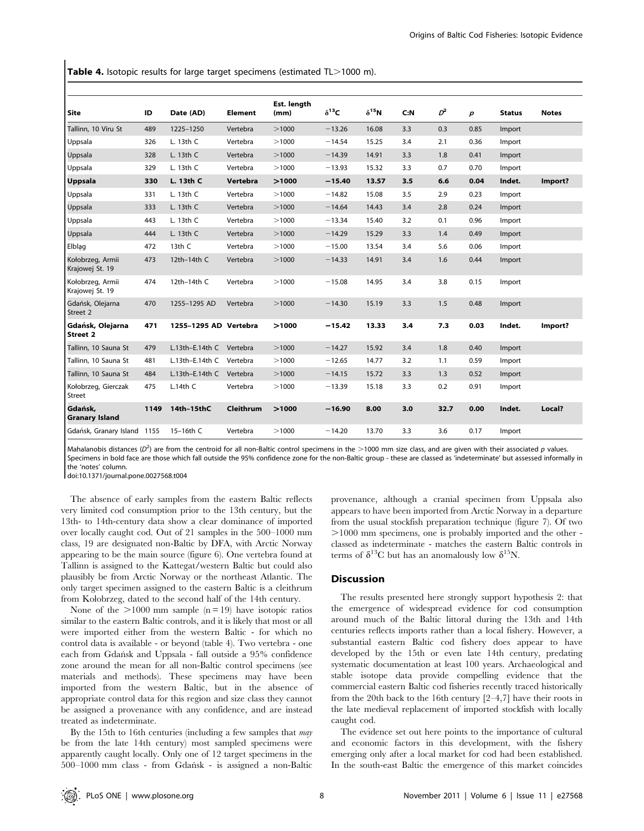Table 4. Isotopic results for large target specimens (estimated  $TL > 1000$  m).

| Site                                | ID   | Date (AD)             | <b>Element</b>   | Est. length<br>(mm) | $\delta^{13}$ C | $\delta^{15}N$ | C: N | $D^2$ | $\boldsymbol{p}$ | <b>Status</b> | <b>Notes</b> |
|-------------------------------------|------|-----------------------|------------------|---------------------|-----------------|----------------|------|-------|------------------|---------------|--------------|
| Tallinn, 10 Viru St                 | 489  | 1225-1250             | Vertebra         | >1000               | $-13.26$        | 16.08          | 3.3  | 0.3   | 0.85             | Import        |              |
| Uppsala                             | 326  | L. 13th C             | Vertebra         | >1000               | $-14.54$        | 15.25          | 3.4  | 2.1   | 0.36             | Import        |              |
| Uppsala                             | 328  | L. 13th C             | Vertebra         | >1000               | $-14.39$        | 14.91          | 3.3  | 1.8   | 0.41             | Import        |              |
| Uppsala                             | 329  | L. 13th C             | Vertebra         | >1000               | $-13.93$        | 15.32          | 3.3  | 0.7   | 0.70             | Import        |              |
| <b>Uppsala</b>                      | 330  | L. 13th C             | Vertebra         | >1000               | $-15.40$        | 13.57          | 3.5  | 6.6   | 0.04             | Indet.        | Import?      |
| Uppsala                             | 331  | L. 13th C             | Vertebra         | >1000               | $-14.82$        | 15.08          | 3.5  | 2.9   | 0.23             | Import        |              |
| Uppsala                             | 333  | L. 13th C             | Vertebra         | >1000               | $-14.64$        | 14.43          | 3.4  | 2.8   | 0.24             | Import        |              |
| Uppsala                             | 443  | L. 13th C             | Vertebra         | >1000               | $-13.34$        | 15.40          | 3.2  | 0.1   | 0.96             | Import        |              |
| Uppsala                             | 444  | L. 13th C             | Vertebra         | >1000               | $-14.29$        | 15.29          | 3.3  | 1.4   | 0.49             | Import        |              |
| Elblag                              | 472  | 13th C                | Vertebra         | >1000               | $-15.00$        | 13.54          | 3.4  | 5.6   | 0.06             | Import        |              |
| Kołobrzeg, Armii<br>Krajowej St. 19 | 473  | 12th-14th C           | Vertebra         | >1000               | $-14.33$        | 14.91          | 3.4  | 1.6   | 0.44             | Import        |              |
| Kołobrzeg, Armii<br>Krajowej St. 19 | 474  | 12th-14th C           | Vertebra         | >1000               | $-15.08$        | 14.95          | 3.4  | 3.8   | 0.15             | Import        |              |
| Gdańsk, Olejarna<br>Street 2        | 470  | 1255-1295 AD          | Vertebra         | >1000               | $-14.30$        | 15.19          | 3.3  | 1.5   | 0.48             | Import        |              |
| Gdańsk, Olejarna<br><b>Street 2</b> | 471  | 1255-1295 AD Vertebra |                  | >1000               | $-15.42$        | 13.33          | 3.4  | 7.3   | 0.03             | Indet.        | Import?      |
| Tallinn, 10 Sauna St                | 479  | $L.13th-E.14thC$      | Vertebra         | >1000               | $-14.27$        | 15.92          | 3.4  | 1.8   | 0.40             | Import        |              |
| Tallinn, 10 Sauna St                | 481  | L.13th-E.14th C       | Vertebra         | >1000               | $-12.65$        | 14.77          | 3.2  | 1.1   | 0.59             | Import        |              |
| Tallinn, 10 Sauna St                | 484  | $L.13th-E.14thC$      | Vertebra         | >1000               | $-14.15$        | 15.72          | 3.3  | 1.3   | 0.52             | Import        |              |
| Kołobrzeg, Gierczak<br>Street       | 475  | $L.14th$ C            | Vertebra         | >1000               | $-13.39$        | 15.18          | 3.3  | 0.2   | 0.91             | Import        |              |
| Gdańsk,<br><b>Granary Island</b>    | 1149 | 14th-15thC            | <b>Cleithrum</b> | >1000               | $-16.90$        | 8.00           | 3.0  | 32.7  | 0.00             | Indet.        | Local?       |
| Gdańsk, Granary Island 1155         |      | 15-16th C             | Vertebra         | >1000               | $-14.20$        | 13.70          | 3.3  | 3.6   | 0.17             | Import        |              |

Mahalanobis distances ( $D^2$ ) are from the centroid for all non-Baltic control specimens in the >1000 mm size class, and are given with their associated p values. Specimens in bold face are those which fall outside the 95% confidence zone for the non-Baltic group - these are classed as 'indeterminate' but assessed informally in the 'notes' column.

doi:10.1371/journal.pone.0027568.t004

The absence of early samples from the eastern Baltic reflects very limited cod consumption prior to the 13th century, but the 13th- to 14th-century data show a clear dominance of imported over locally caught cod. Out of 21 samples in the 500–1000 mm class, 19 are designated non-Baltic by DFA, with Arctic Norway appearing to be the main source (figure 6). One vertebra found at Tallinn is assigned to the Kattegat/western Baltic but could also plausibly be from Arctic Norway or the northeast Atlantic. The only target specimen assigned to the eastern Baltic is a cleithrum from Kołobrzeg, dated to the second half of the 14th century.

None of the  $>1000$  mm sample (n = 19) have isotopic ratios similar to the eastern Baltic controls, and it is likely that most or all were imported either from the western Baltic - for which no control data is available - or beyond (table 4). Two vertebra - one each from Gdan´sk and Uppsala - fall outside a 95% confidence zone around the mean for all non-Baltic control specimens (see materials and methods). These specimens may have been imported from the western Baltic, but in the absence of appropriate control data for this region and size class they cannot be assigned a provenance with any confidence, and are instead treated as indeterminate.

By the 15th to 16th centuries (including a few samples that *may* be from the late 14th century) most sampled specimens were apparently caught locally. Only one of 12 target specimens in the 500–1000 mm class - from Gdan´sk - is assigned a non-Baltic

provenance, although a cranial specimen from Uppsala also appears to have been imported from Arctic Norway in a departure from the usual stockfish preparation technique (figure 7). Of two .1000 mm specimens, one is probably imported and the other classed as indeterminate - matches the eastern Baltic controls in terms of  $\delta^{13}C$  but has an anomalously low  $\delta^{15}N$ .

# **Discussion**

The results presented here strongly support hypothesis 2: that the emergence of widespread evidence for cod consumption around much of the Baltic littoral during the 13th and 14th centuries reflects imports rather than a local fishery. However, a substantial eastern Baltic cod fishery does appear to have developed by the 15th or even late 14th century, predating systematic documentation at least 100 years. Archaeological and stable isotope data provide compelling evidence that the commercial eastern Baltic cod fisheries recently traced historically from the 20th back to the 16th century [2–4,7] have their roots in the late medieval replacement of imported stockfish with locally caught cod.

The evidence set out here points to the importance of cultural and economic factors in this development, with the fishery emerging only after a local market for cod had been established. In the south-east Baltic the emergence of this market coincides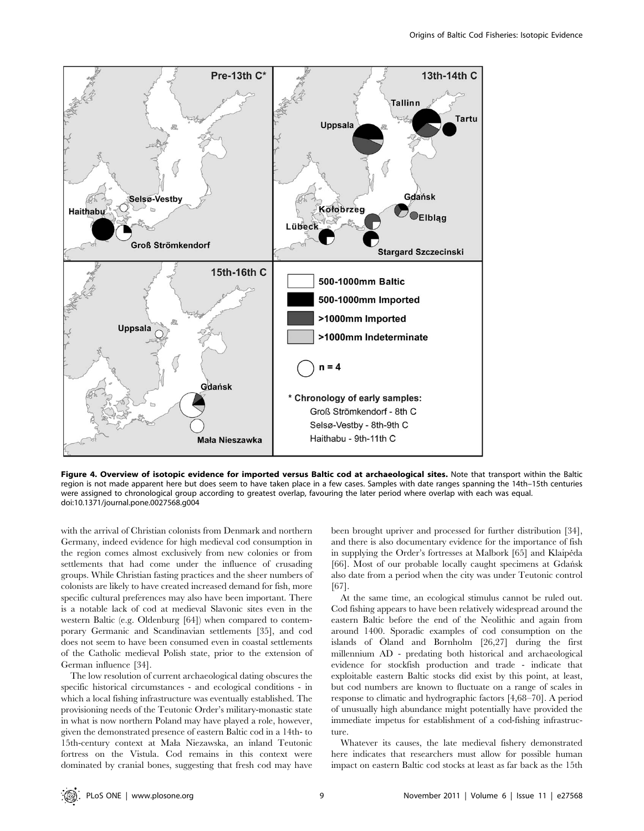

Figure 4. Overview of isotopic evidence for imported versus Baltic cod at archaeological sites. Note that transport within the Baltic region is not made apparent here but does seem to have taken place in a few cases. Samples with date ranges spanning the 14th–15th centuries were assigned to chronological group according to greatest overlap, favouring the later period where overlap with each was equal. doi:10.1371/journal.pone.0027568.g004

with the arrival of Christian colonists from Denmark and northern Germany, indeed evidence for high medieval cod consumption in the region comes almost exclusively from new colonies or from settlements that had come under the influence of crusading groups. While Christian fasting practices and the sheer numbers of colonists are likely to have created increased demand for fish, more specific cultural preferences may also have been important. There is a notable lack of cod at medieval Slavonic sites even in the western Baltic (e.g. Oldenburg [64]) when compared to contemporary Germanic and Scandinavian settlements [35], and cod does not seem to have been consumed even in coastal settlements of the Catholic medieval Polish state, prior to the extension of German influence [34].

The low resolution of current archaeological dating obscures the specific historical circumstances - and ecological conditions - in which a local fishing infrastructure was eventually established. The provisioning needs of the Teutonic Order's military-monastic state in what is now northern Poland may have played a role, however, given the demonstrated presence of eastern Baltic cod in a 14th- to 15th-century context at Mała Niezawska, an inland Teutonic fortress on the Vistula. Cod remains in this context were dominated by cranial bones, suggesting that fresh cod may have been brought upriver and processed for further distribution [34], and there is also documentary evidence for the importance of fish in supplying the Order's fortresses at Malbork [65] and Klaipeda [66]. Most of our probable locally caught specimens at Gdańsk also date from a period when the city was under Teutonic control [67].

At the same time, an ecological stimulus cannot be ruled out. Cod fishing appears to have been relatively widespread around the eastern Baltic before the end of the Neolithic and again from around 1400. Sporadic examples of cod consumption on the islands of Öland and Bornholm  $[26,27]$  during the first millennium AD - predating both historical and archaeological evidence for stockfish production and trade - indicate that exploitable eastern Baltic stocks did exist by this point, at least, but cod numbers are known to fluctuate on a range of scales in response to climatic and hydrographic factors [4,68–70]. A period of unusually high abundance might potentially have provided the immediate impetus for establishment of a cod-fishing infrastructure.

Whatever its causes, the late medieval fishery demonstrated here indicates that researchers must allow for possible human impact on eastern Baltic cod stocks at least as far back as the 15th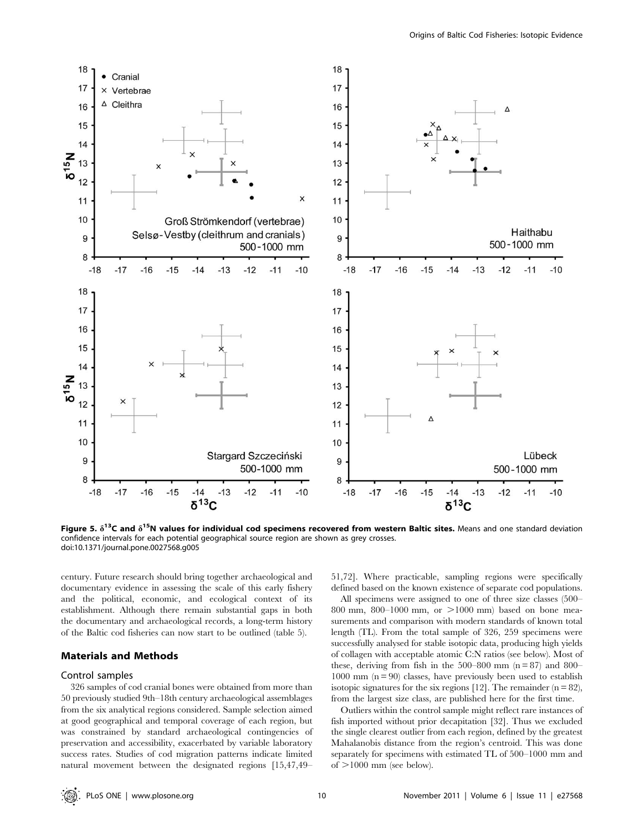

Figure 5.  $\delta^{13}$ C and  $\delta^{15}$ N values for individual cod specimens recovered from western Baltic sites. Means and one standard deviation confidence intervals for each potential geographical source region are shown as grey crosses. doi:10.1371/journal.pone.0027568.g005

century. Future research should bring together archaeological and documentary evidence in assessing the scale of this early fishery and the political, economic, and ecological context of its establishment. Although there remain substantial gaps in both the documentary and archaeological records, a long-term history of the Baltic cod fisheries can now start to be outlined (table 5).

#### Materials and Methods

### Control samples

326 samples of cod cranial bones were obtained from more than 50 previously studied 9th–18th century archaeological assemblages from the six analytical regions considered. Sample selection aimed at good geographical and temporal coverage of each region, but was constrained by standard archaeological contingencies of preservation and accessibility, exacerbated by variable laboratory success rates. Studies of cod migration patterns indicate limited natural movement between the designated regions [15,47,49–

51,72]. Where practicable, sampling regions were specifically defined based on the known existence of separate cod populations.

All specimens were assigned to one of three size classes (500– 800 mm, 800–1000 mm, or  $>1000$  mm) based on bone measurements and comparison with modern standards of known total length (TL). From the total sample of 326, 259 specimens were successfully analysed for stable isotopic data, producing high yields of collagen with acceptable atomic C:N ratios (see below). Most of these, deriving from fish in the  $500-800$  mm (n = 87) and 800–  $1000$  mm  $(n = 90)$  classes, have previously been used to establish isotopic signatures for the six regions [12]. The remainder  $(n = 82)$ , from the largest size class, are published here for the first time.

Outliers within the control sample might reflect rare instances of fish imported without prior decapitation [32]. Thus we excluded the single clearest outlier from each region, defined by the greatest Mahalanobis distance from the region's centroid. This was done separately for specimens with estimated TL of 500–1000 mm and of  $>1000$  mm (see below).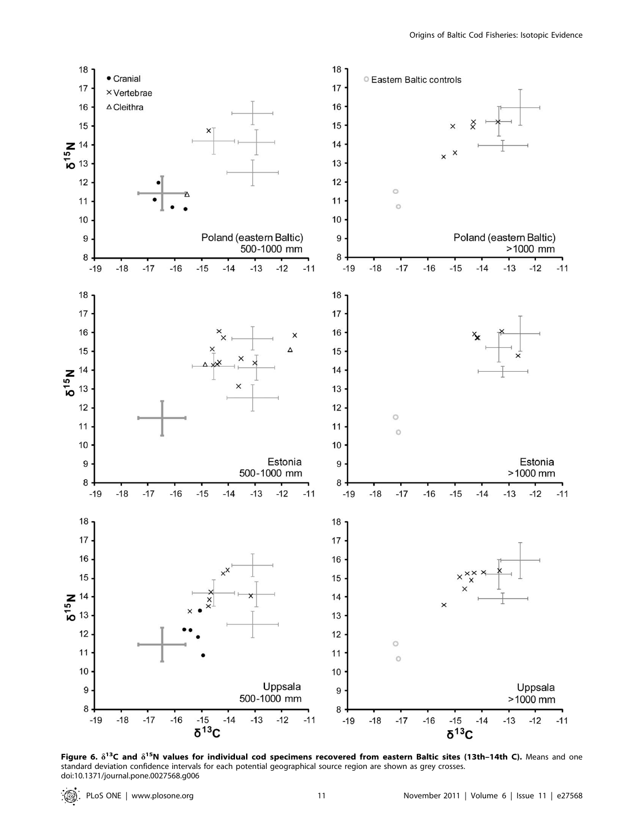

Figure 6.  $\delta^{13}C$  and  $\delta^{15}N$  values for individual cod specimens recovered from eastern Baltic sites (13th–14th C). Means and one standard deviation confidence intervals for each potential geographical source region are shown as grey crosses. doi:10.1371/journal.pone.0027568.g006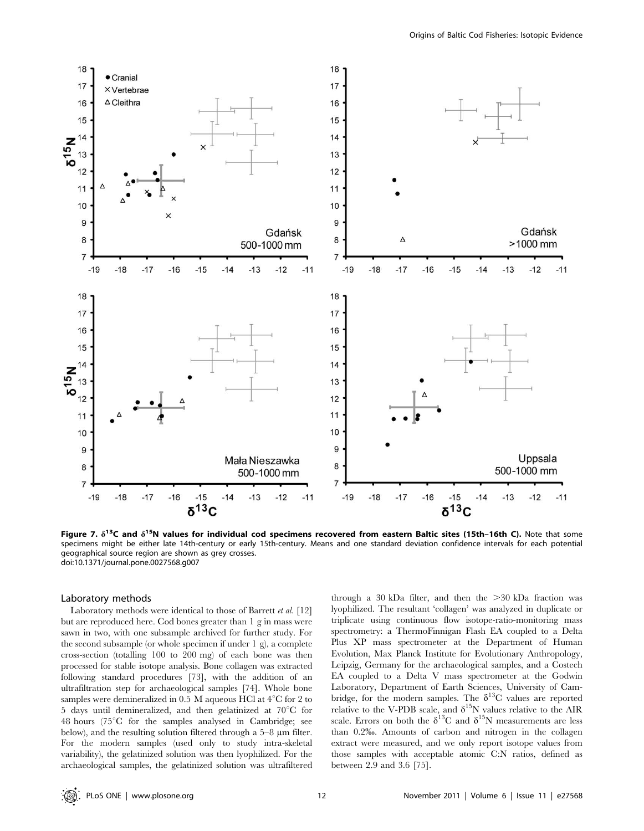

Figure 7.  $\delta^{13}C$  and  $\delta^{15}N$  values for individual cod specimens recovered from eastern Baltic sites (15th–16th C). Note that some specimens might be either late 14th-century or early 15th-century. Means and one standard deviation confidence intervals for each potential geographical source region are shown as grey crosses. doi:10.1371/journal.pone.0027568.g007

#### Laboratory methods

Laboratory methods were identical to those of Barrett et al. [12] but are reproduced here. Cod bones greater than 1 g in mass were sawn in two, with one subsample archived for further study. For the second subsample (or whole specimen if under 1 g), a complete cross-section (totalling 100 to 200 mg) of each bone was then processed for stable isotope analysis. Bone collagen was extracted following standard procedures [73], with the addition of an ultrafiltration step for archaeological samples [74]. Whole bone samples were demineralized in 0.5 M aqueous HCl at  $4^{\circ}$ C for 2 to 5 days until demineralized, and then gelatinized at  $70^{\circ}$ C for  $48$  hours ( $75^{\circ}$ C for the samples analysed in Cambridge; see below), and the resulting solution filtered through a  $5-8$  µm filter. For the modern samples (used only to study intra-skeletal variability), the gelatinized solution was then lyophilized. For the archaeological samples, the gelatinized solution was ultrafiltered

through a 30 kDa filter, and then the  $>30$  kDa fraction was lyophilized. The resultant 'collagen' was analyzed in duplicate or triplicate using continuous flow isotope-ratio-monitoring mass spectrometry: a ThermoFinnigan Flash EA coupled to a Delta Plus XP mass spectrometer at the Department of Human Evolution, Max Planck Institute for Evolutionary Anthropology, Leipzig, Germany for the archaeological samples, and a Costech EA coupled to a Delta V mass spectrometer at the Godwin Laboratory, Department of Earth Sciences, University of Cambridge, for the modern samples. The  $\delta^{13}C$  values are reported relative to the V-PDB scale, and  $\delta^{15}N$  values relative to the AIR scale. Errors on both the  $\delta^{13}C$  and  $\delta^{15}N$  measurements are less than 0.2%. Amounts of carbon and nitrogen in the collagen extract were measured, and we only report isotope values from those samples with acceptable atomic C:N ratios, defined as between 2.9 and 3.6 [75].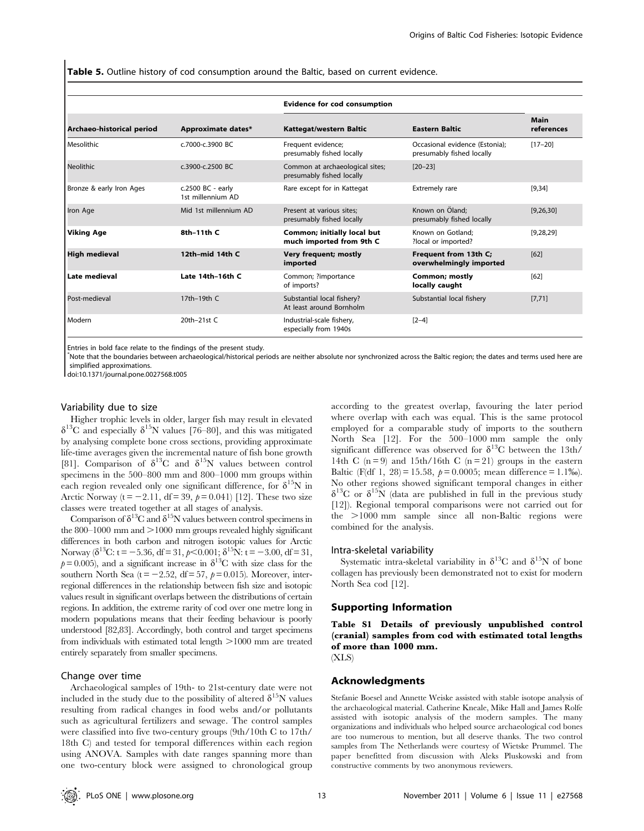Table 5. Outline history of cod consumption around the Baltic, based on current evidence.

|                           |                                        | <b>Evidence for cod consumption</b>                          |                                                             |                    |
|---------------------------|----------------------------------------|--------------------------------------------------------------|-------------------------------------------------------------|--------------------|
| Archaeo-historical period | Approximate dates*                     | Kattegat/western Baltic                                      | <b>Eastern Baltic</b>                                       | Main<br>references |
| l Mesolithic              | c.7000-c.3900 BC                       | Frequent evidence;<br>presumably fished locally              | Occasional evidence (Estonia);<br>presumably fished locally | $[17 - 20]$        |
| Neolithic                 | c.3900-c.2500 BC                       | Common at archaeological sites;<br>presumably fished locally | $[20 - 23]$                                                 |                    |
| Bronze & early Iron Ages  | c.2500 BC - early<br>1st millennium AD | Rare except for in Kattegat                                  | Extremely rare                                              | $[9,34]$           |
| Iron Age                  | Mid 1st millennium AD                  | Present at various sites:<br>presumably fished locally       | Known on Öland:<br>presumably fished locally                | [9, 26, 30]        |
| Viking Age                | 8th-11th C                             | Common; initially local but<br>much imported from 9th C      | Known on Gotland:<br>?local or imported?                    | [9, 28, 29]        |
| <b>High medieval</b>      | 12th-mid 14th C                        | Very frequent; mostly<br>imported                            | Frequent from 13th C;<br>overwhelmingly imported            | [62]               |
| l Late medieval           | Late 14th-16th C                       | Common; ?importance<br>of imports?                           | <b>Common; mostly</b><br>locally caught                     | [62]               |
| Post-medieval             | 17th-19th C                            | Substantial local fishery?<br>At least around Bornholm       | Substantial local fishery                                   | [7, 71]            |
| l Modern                  | 20th-21st C                            | Industrial-scale fishery,<br>especially from 1940s           | $[2-4]$                                                     |                    |

Entries in bold face relate to the findings of the present study.

\* Note that the boundaries between archaeological/historical periods are neither absolute nor synchronized across the Baltic region; the dates and terms used here are simplified approximations.

doi:10.1371/journal.pone.0027568.t005

# Variability due to size

Higher trophic levels in older, larger fish may result in elevated  $\delta^{13}$ C and especially  $\delta^{15}$ N values [76–80], and this was mitigated by analysing complete bone cross sections, providing approximate life-time averages given the incremental nature of fish bone growth [81]. Comparison of  $\delta^{13}C$  and  $\delta^{15}N$  values between control specimens in the 500–800 mm and 800–1000 mm groups within each region revealed only one significant difference, for  $\delta^{15}N$  in Arctic Norway ( $t = -2.11$ , df = 39,  $p = 0.041$ ) [12]. These two size classes were treated together at all stages of analysis.

Comparison of  $\delta^{13}$ C and  $\delta^{15}$ N values between control specimens in the  $800-1000$  mm and  $>1000$  mm groups revealed highly significant differences in both carbon and nitrogen isotopic values for Arctic Norway  $\delta^{13}C$ : t = -5.36, df = 31, p < 0.001;  $\delta^{15}N$ : t = -3.00, df = 31,  $p= 0.005$ ), and a significant increase in  $\delta^{13}$ C with size class for the southern North Sea (t = -2.52, df = 57,  $p$  = 0.015). Moreover, interregional differences in the relationship between fish size and isotopic values result in significant overlaps between the distributions of certain regions. In addition, the extreme rarity of cod over one metre long in modern populations means that their feeding behaviour is poorly understood [82,83]. Accordingly, both control and target specimens from individuals with estimated total length  $>1000$  mm are treated entirely separately from smaller specimens.

#### Change over time

Archaeological samples of 19th- to 21st-century date were not included in the study due to the possibility of altered  $\delta^{15}N$  values resulting from radical changes in food webs and/or pollutants such as agricultural fertilizers and sewage. The control samples were classified into five two-century groups (9th/10th C to 17th/ 18th C) and tested for temporal differences within each region using ANOVA. Samples with date ranges spanning more than one two-century block were assigned to chronological group

according to the greatest overlap, favouring the later period where overlap with each was equal. This is the same protocol employed for a comparable study of imports to the southern North Sea [12]. For the 500–1000 mm sample the only significant difference was observed for  $\delta^{13}$ C between the 13th/ 14th C  $(n=9)$  and 15th/16th C  $(n=21)$  groups in the eastern Baltic (F(df 1, 28) = 15.58,  $p = 0.0005$ ; mean difference = 1.1‰). No other regions showed significant temporal changes in either  $\delta^{13}$ C or  $\delta^{15}$ N (data are published in full in the previous study [12]). Regional temporal comparisons were not carried out for the >1000 mm sample since all non-Baltic regions were combined for the analysis.

#### Intra-skeletal variability

Systematic intra-skeletal variability in  $\delta^{13}C$  and  $\delta^{15}N$  of bone collagen has previously been demonstrated not to exist for modern North Sea cod [12].

### Supporting Information

Table S1 Details of previously unpublished control (cranial) samples from cod with estimated total lengths of more than 1000 mm. (XLS)

# Acknowledgments

Stefanie Boesel and Annette Weiske assisted with stable isotope analysis of the archaeological material. Catherine Kneale, Mike Hall and James Rolfe assisted with isotopic analysis of the modern samples. The many organizations and individuals who helped source archaeological cod bones are too numerous to mention, but all deserve thanks. The two control samples from The Netherlands were courtesy of Wietske Prummel. The paper benefitted from discussion with Aleks Pluskowski and from constructive comments by two anonymous reviewers.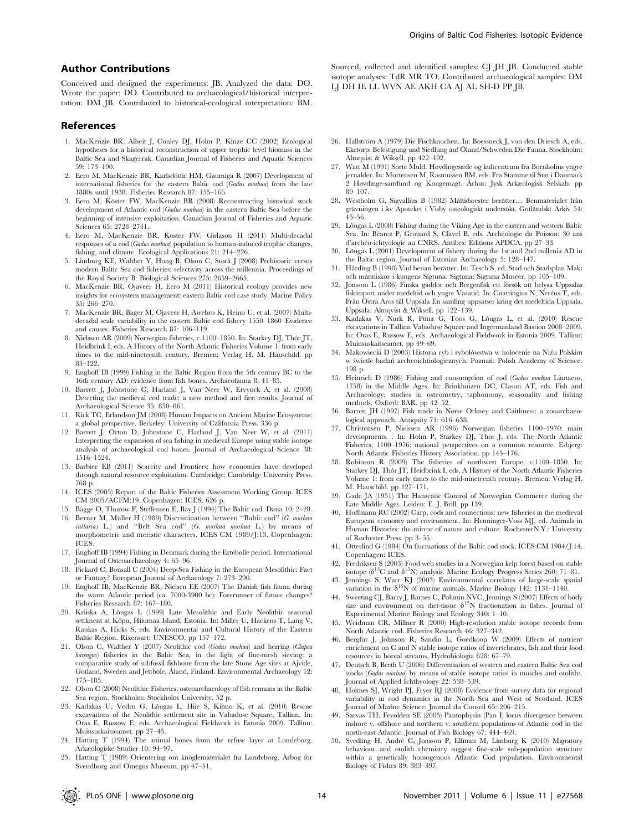### Author Contributions

Conceived and designed the experiments: JB. Analyzed the data: DO. Wrote the paper: DO. Contributed to archaeological/historical interpretation: DM JB. Contributed to historical-ecological interpretation: BM.

#### References

- 1. MacKenzie BR, Alheit J, Conley DJ, Holm P, Kinze CC (2002) Ecological hypotheses for a historical reconstruction of upper trophic level biomass in the Baltic Sea and Skagerrak. Canadian Journal of Fisheries and Aquatic Sciences 59: 173–190.
- 2. Eero M, MacKenzie BR, Karlsdóttir HM, Gaumiga R (2007) Development of international fisheries for the eastern Baltic cod (Gadus morhua) from the late 1880s until 1938. Fisheries Research 87: 155–166.
- 3. Eero M, Köster FW, MacKenzie BR (2008) Reconstructing historical stock development of Atlantic cod (Gadus morhua) in the eastern Baltic Sea before the beginning of intensive exploitation. Canadian Journal of Fisheries and Aquatic Sciences 65: 2728–2741.
- 4. Eero M, MacKenzie BR, Köster FW, Gislason H (2011) Multi-decadal responses of a cod (Gadus morhua) population to human-induced trophic changes, fishing, and climate. Ecological Applications 21: 214–226.
- 5. Limburg KE, Walther Y, Hong B, Olson C, Storå J (2008) Prehistoric versus modern Baltic Sea cod fisheries: selectivity across the millennia. Proceedings of the Royal Society B: Biological Sciences 275: 2659–2665.
- 6. MacKenzie BR, Ojaveer H, Eero M (2011) Historical ecology provides new insights for ecosystem management: eastern Baltic cod case study. Marine Policy 35: 266–270.
- 7. MacKenzie BR, Bager M, Ojaveer H, Awebro K, Heino U, et al. (2007) Multidecadal scale variability in the eastern Baltic cod fishery 1550–1860–Evidence and causes. Fisheries Research 87: 106–119.
- 8. Nielssen AR (2009) Norwegian fisheries, c.1100-1850. In: Starkey DJ, Thór JT, Heidbrink I, eds. A History of the North Atlantic Fisheries Volume 1: from early times to the mid-nineteenth century. Bremen: Verlag H. M. Hauschild. pp 83–122.
- 9. Enghoff IB (1999) Fishing in the Baltic Region from the 5th century BC to the 16th century AD: evidence from fish bones. Archaeofauna 8: 41–85.
- 10. Barrett J, Johnstone C, Harland J, Van Neer W, Ervynck A, et al. (2008) Detecting the medieval cod trade: a new method and first results. Journal of Archaeological Science 35: 850–861.
- 11. Rick TC, Erlandson JM (2008) Human Impacts on Ancient Marine Ecosystems: a global perspective. Berkeley: University of California Press. 336 p.
- 12. Barrett J, Orton D, Johnstone C, Harland J, Van Neer W, et al. (2011) Interpreting the expansion of sea fishing in medieval Europe using stable isotope analysis of archaeological cod bones. Journal of Archaeological Science 38: 1516–1524.
- 13. Barbier EB (2011) Scarcity and Frontiers: how economies have developed through natural resource exploitation. Cambridge: Cambridge University Press. 768 p.
- 14. ICES (2005) Report of the Baltic Fisheries Assessment Working Group. ICES CM 2005/ACFM:19. Copenhagen: ICES. 626 p.
- 15. Bagge O, Thurow F, Steffensen E, Bay J (1994) The Baltic cod. Dana 10: 2–28. 16. Berner M, Müller H (1989) Discrimination between "Baltic cod" (G. morhua
- callarias L.) and "Belt Sea cod" (G. morhua morhua L.) by means of morphometric and meristic characters. ICES CM 1989/J:13. Copenhagen: ICES.
- 17. Enghoff IB (1994) Fishing in Denmark during the Ertebølle period. International Journal of Osteoarchaeology 4: 65–96.
- 18. Pickard C, Bonsall C (2004) Deep-Sea Fishing in the European Mesolithic: Fact or Fantasy? European Journal of Archaeology 7: 273–290.
- 19. Enghoff IB, MacKenzie BR, Nielsen EE (2007) The Danish fish fauna during the warm Atlantic period (ca. 7000-3900 bc): Forerunner of future changes? Fisheries Research 87: 167–180.
- 20. Kriiska A, Lõugas L (1999) Late Mesolithic and Early Neolithic seasonal settlment at Kõpu, Hiiumaa Island, Estonia. In: Miller U, Hackens T, Lang V, Raukas A, Hicks S, eds. Environmental and Cultural History of the Eastern Baltic Region. Rixensart: UNESCO. pp 157–172.
- 21. Olson C, Walther Y (2007) Neolithic cod (Gadus morhua) and herring (Clupea harengus) fisheries in the Baltic Sea, in the light of fine-mesh sieving: a comparative study of subfossil fishbone from the late Stone Age sites at Ajvide, Gotland, Sweden and Jettböle, Åland, Finland. Environmental Archaeology 12: 175–185.
- 22. Olson C (2008) Neolithic Fisheries: osteoarchaeology of fish remains in the Baltic Sea region. Stockholm: Stockholm University. 52 p.
- 23. Kadakas U, Vedru G, Lõugas L, Hiie S, Kihno K, et al. (2010) Rescue excavations of the Neolithic settlement site in Vabaduse Square, Tallinn. In: Oras E, Russow E, eds. Archaeological Fieldwork in Estonia 2009. Tallinn: Muinsuskaitseamet. pp 27–45.
- 24. Hatting T (1994) The animal bones from the refuse layer at Lundeborg. Arkæologiske Studier 10: 94–97.
- 25. Hatting T (1989) Orientering om knoglematerialet fra Lundeborg. Årbog for Svendborg and Omegns Museum. pp 47–51.

Sourced, collected and identified samples: CJ JH JB. Conducted stable isotope analyses: TdR MR TO. Contributed archaeological samples: DM LJ DH IE LL WVN AE AKH CA AJ AL SH-D PP JB.

- 26. Hallström A (1979) Die Fischknochen. In: Boessneck J, von den Driesch A, eds. Eketorp: Befestigung und Siedlung auf Öland/Schweden Die Fauna. Stockholm: Almquist & Wiksell. pp 422–492.
- 27. Watt M (1991) Sorte Muld. Høvdingesæde og kultcentrum fra Bornholms yngre jernalder. In: Mortensen M, Rasmussen BM, eds. Fra Stamme til Stat i Danmark 2 Høvdinge-samfund og Kongemagt. Århus: Jysk Arkæologisk Selskab. pp 89–107.
- 28. Westholm G, Sigvallius B (1982) Måltidsrester berätter. Benmaterialet från grävningen i kv Apoteket i Visby osteologiskt undersökt. Gotländskt Arkiv 54: 45–56.
- 29. Lõugas L (2008) Fishing during the Viking Age in the eastern and western Baltic Sea. In: Béarez P, Grouard S, Clavel B, eds. Archéologie du Poisson: 30 ans d'archéo-ichtyologie au CNRS. Antibes: Éditions APDCA. pp 27–33.
- Lõugas L (2001) Development of fishery during the 1st and 2nd millenia AD in the Baltic region. Journal of Estonian Archaeology 5: 128–147.
- 31. Hårding B (1990) Vad benan berätter. In: Tesch S, ed. Stad och Stadsplan Makt och människor i kungens Sigtuna. Sigtuna: Sigtuna Museer. pp 105–109.
- 32. Jonsson L (1986) Finska gäddor och Bergenfisk ett försök att belysa Uppsalas fiskimport under medeltid och yngre Vasatid. In: Cnattingius N, Neréus T, eds. Från Östra Aros till Uppsala En samling uppsatser kring det medeltida Uppsala. Uppsala: Almqvist & Wiksell. pp 122–139.
- 33. Kadakas V, Nurk R, Püüa G, Toos G, Lõugas L, et al. (2010) Rescue excavations in Tallinn Vabaduse Square and Ingermanland Bastion 2008–2009. In: Oras E, Russow E, eds. Archaeological Fieldwork in Estonia 2009. Tallinn: Muinsuskaitseamet. pp 49–69.
- 34. Makowiecki D (2003) Historia ryb i rybołówstwa w holocenie na Niżu Polskim w świetle badań archeoichtiologicznych. Poznań: Polish Academy of Science. 198 p.
- 35. Heinrich D (1986) Fishing and consumption of cod (Gadus morhua Linnaeus, 1758) in the Middle Ages. In: Brinkhuizen DC, Clason AT, eds. Fish and Archaeology: studies in osteometry, taphonomy, seasonality and fishing methods. Oxford: BAR. pp 42–52.
- 36. Barrett JH (1997) Fish trade in Norse Orkney and Caithness: a zooarchaeological approach. Antiquity 71: 616–638.
- 37. Christensen P, Nielssen AR (1996) Norwegian fisheries 1100–1970: main developments. . In: Holm P, Starkey DJ, Thor J, eds. The North Atlantic Fisheries, 1100–1976: national perspectives on a common resource. Esbjerg: North Atlantic Fisheries History Association. pp 145–176.
- 38. Robinson R (2009) The fisheries of northwest Europe, c.1100–1850. In: Starkey DJ, Thór JT, Heidbrink I, eds. A History of the North Atlantic Fisheries Volume 1: from early times to the mid-nineteenth century. Bremen: Verlag H. M. Hauschild. pp 127–171.
- 39. Gade JA (1951) The Hanseatic Control of Norwegian Commerce during the Late Middle Ages. Leiden: E. J. Brill. pp 139.
- 40. Hoffmann RC (2002) Carp, cods and connections: new fisheries in the medieval European economy and environment. In: Henninger-Voss MJ, ed. Animals in Human Histories: the mirror of nature and culture. RochesterN.Y.: University of Rochester Press. pp 3–55.
- 41. Otterlind G (1984) On fluctuations of the Baltic cod stock. ICES CM 1984/J:14. Copenhagen: ICES.
- 42. Fredriksen S (2003) Food web studies in a Norwegian kelp forest based on stable isotope ( $\delta^{13}$ C and  $\delta^{15}$ N) analysis. Marine Ecology Progress Series 260: 71–81.
- 43. Jennings S, Warr KJ (2003) Environmental correlates of large-scale spatial variation in the  $\delta^{15}N$  of marine animals. Marine Biology 142: 1131–1140.
- 44. Sweeting CJ, Barry J, Barnes C, Polunin NVC, Jennings S (2007) Effects of body size and environment on diet-tissue  $\delta^{15}N$  fractionation in fishes. Journal of Experimental Marine Biology and Ecology 340: 1–10.
- 45. Weidman CR, Millner R (2000) High-resolution stable isotope records from North Atlantic cod. Fisheries Research 46: 327–342.
- 46. Bergfur J, Johnson R, Sandin L, Goedkoop W (2009) Effects of nutrient enrichment on C and N stable isotope ratios of invertebrates, fish and their food resources in boreal streams. Hydrobiologia 628: 67–79.
- 47. Deutsch B, Berth U (2006) Differentiation of western and eastern Baltic Sea cod stocks (Gadus morhua) by means of stable isotope ratios in muscles and otoliths. Journal of Applied Ichthyology 22: 538–539.
- 48. Holmes SJ, Wright PJ, Fryer RJ (2008) Evidence from survey data for regional variability in cod dynamics in the North Sea and West of Scotland. ICES Journal of Marine Science: Journal du Conseil 65: 206–215.
- 49. Sarvas TH, Fevolden SE (2005) Pantophysin (Pan I) locus divergence between inshore v. offshore and northern v. southern populations of Atlantic cod in the north-east Atlantic. Journal of Fish Biology 67: 444–469.
- 50. Svedang H, André C, Jonsson P, Elfman M, Limburg K (2010) Migratory behaviour and otolith chemistry suggest fine-scale sub-population structure within a genetically homogenous Atlantic Cod population. Environmental Biology of Fishes 89: 383–397.